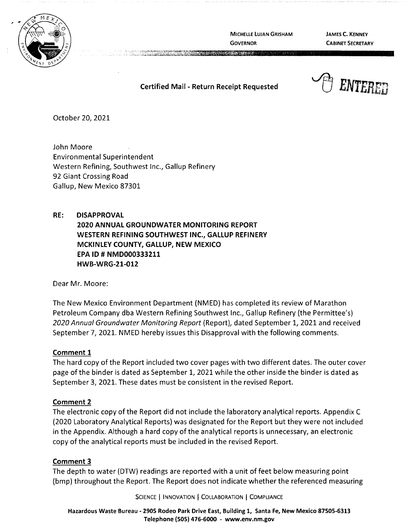

MICHELLE LUJAN GRISHAM **GOVERNOR** 

**JAMES C. KENNEY CABINET SECRETARY** 

# **Certified Mail** - **Return Receipt Requested**

**CONTRACTORS IN THE STATE** 



October 20, 2021

John Moore Environmental Superintendent Western Refining, Southwest Inc., Gallup Refinery 92 Giant Crossing Road Gallup, New Mexico 87301

**RE: DISAPPROVAL 2020 ANNUAL GROUNDWATER MONITORING REPORT WESTERN REFINING SOUTHWEST INC., GALLUP REFINERY MCKINLEY COUNTY, GALLUP, NEW MEXICO EPA** ID# **NMD000333211 HWB-WRG-21-012** 

Dear Mr. Moore:

The New Mexico Environment Department (NMED) has completed its review of Marathon Petroleum Company dba Western Refining Southwest Inc., Gallup Refinery (the Permittee's) 2020 Annual Groundwater Monitoring Report (Report), dated September 1, 2021 and received September 7, 2021. NMED hereby issues this Disapproval with the following comments.

## **Comment 1**

The hard copy of the Report included two cover pages with two different dates. The outer cover page of the binder is dated as September 1, 2021 while the other inside the binder is dated as September 3, 2021. These dates must be consistent in the revised Report.

## **Comment 2**

The electronic copy of the Report did not include the laboratory analytical reports. Appendix C (2020 Laboratory Analytical Reports) was designated for the Report but they were not included in the Appendix. Although a hard copy of the analytical reports is unnecessary, an electronic copy of the analytical reports must be included in the revised Report.

## **Comment 3**

The depth to water (DTW) readings are reported with a unit of feet below measuring point (bmp) throughout the Report. The Report does not indicate whether the referenced measuring

SCIENCE | INNOVATION | COLLABORATION | COMPLIANCE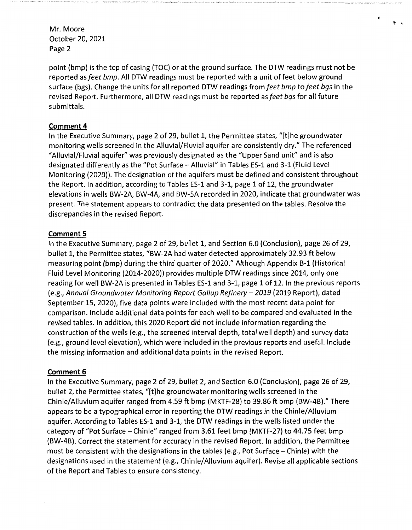point (bmp) is the top of casing (TOC) or at the ground surface. The DTW readings must not be reported as *feet bmp*. All DTW readings must be reported with a unit of feet below ground surface (bgs). Change the units for all reported DTW readings from *feet bmp* to *feet bgs* in the revised Report. Furthermore, all DTW readings must be reported as *feet bgs* for all future submittals.

 $\star$   $\,$   $\,$   $\,$ 

### **Comment 4**

In the Executive Summary, page 2 of 29, bullet 1, the Permittee states, "[t]he groundwater monitoring wells screened in the Alluvial/Fluvial aquifer are consistently dry." The referenced "Alluvial/Fluvial aquifer" was previously designated as the "Upper Sand unit" and is also designated differently as the "Pot Surface - Alluvial" in Tables ES-1 and 3-1 (Fluid Level Monitoring (2020)). The designation of the aquifers must be defined and consistent throughout the Report. In addition, according to Tables ES-1 and 3-1, page 1 of 12, the groundwater elevations in wells BW-2A, BW-4A, and BW-SA recorded in 2020, indicate that groundwater was present. The statement appears to contradict the data presented on the tables. Resolve the discrepancies in the revised Report.

### **Comment 5**

In the Executive Summary, page 2 of 29, bullet 1, and Section 6.0 (Conclusion), page 26 of 29, bullet 1, the Permittee states, "BW-2A had water detected approximately 32.93 ft below measuring point (bmp) during the third quarter of 2020." Although Appendix B-1 (Historical Fluid Level Monitoring {2014-2020)) provides multiple DTW readings since 2014, only one reading for well BW-2A is presented in Tables ES-1 and 3-1, page 1 of 12. In the previous reports (e.g., *Annual Groundwater Monitoring Report Gallup Refinery- 2019* (2019 Report), dated September 15, 2020), five data points were included with the most recent data point for comparison. Include additional data points for each well to be compared and evaluated in the revised tables. In addition, this 2020 Report did not include information regarding the construction of the wells (e.g., the screened interval depth, total well depth) and survey data (e.g., ground level elevation), which were included in the previous reports and useful. Include the missing information and additional data points in the revised Report.

### **Comment 6**

In the Executive Summary, page 2 of 29, bullet 2, and Section 6.0 (Conclusion), page 26 of 29, bullet 2, the Permittee states, "[t]he groundwater monitoring wells screened in the Chinle/Alluvium aquifer ranged from 4.59 ft bmp (MKTF-28) to 39.86 ft bmp (BW-4B)." There appears to be a typographical error in reporting the DTW readings in the Chinle/Alluvium aquifer. According to Tables ES-1 and 3-1, the DTW readings in the wells listed under the category of "Pot Surface - Chinle" ranged from 3.61 feet bmp (MKTF-27) to 44.75 feet bmp (BW-4B). Correct the statement for accuracy in the revised Report. In addition, the Permittee must be consistent with the designations in the tables (e.g., Pot Surface  $-$  Chinle) with the designations used in the statement (e.g., Chinle/Alluvium aquifer). Revise all applicable sections of the Report and Tables to ensure consistency.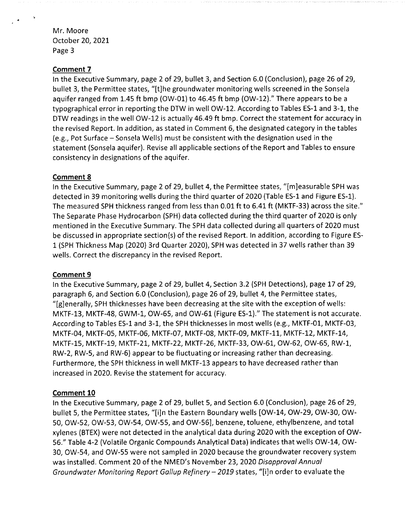### **Comment 7**

In the Executive Summary, page 2 of 29, bullet 3, and Section 6.0 (Conclusion), page 26 of 29, bullet 3, the Permittee states, "[t]he groundwater monitoring wells screened in the Sonsela aquifer ranged from 1.45 ft bmp (OW-01) to 46.45 ft bmp (OW-12}." There appears to be a typographical error in reporting the DTW in well OW-12. According to Tables ES-1 and 3-1, the DTW readings in the well OW-12 is actually 46.49 ft bmp. Correct the statement for accuracy in the revised Report. In addition, as stated in Comment 6, the designated category in the tables (e.g., Pot Surface - Sonsela Wells) must be consistent with the designation used in the statement (Sonsela aquifer). Revise all applicable sections of the Report and Tables to ensure consistency in designations of the aquifer.

### **Comment 8**

In the Executive Summary, page 2 of 29, bullet 4, the Permittee states, "[m]easurable SPH was detected in 39 monitoring wells during the third quarter of 2020 (Table ES-1 and Figure ES-1}. The measured SPH thickness ranged from less than 0.01 ft to 6.41 ft (MKTF-33) across the site." The Separate Phase Hydrocarbon (SPH) data collected during the third quarter of 2020 is only mentioned in the Executive Summary. The SPH data collected during all quarters of 2020 must be discussed in appropriate section(s) of the revised Report. In addition, according to Figure ES-1 (SPH Thickness Map (2020) 3rd Quarter 2020), SPH was detected in 37 wells rather than 39 wells. Correct the discrepancy in the revised Report.

## **Comment 9**

In the Executive Summary, page 2 of 29, bullet 4, Section 3.2 (SPH Detections), page 17 of 29, paragraph 6, and Section 6.0 (Conclusion), page 26 of 29, bullet 4, the Permittee states, "[g]enerally, SPH thicknesses have been decreasing at the site with the exception of wells: MKTF-13, MKTF-48, GWM-1, OW-65, and OW-61 (Figure ES-1}." The statement is not accurate. According to Tables ES-1 and 3-1, the SPH thicknesses in most wells (e.g., MKTF-01, MKTF-03, MKTF-04, MKTF-05, MKTF-06, MKTF-07, MKTF-08, MKTF-09, MKTF-11, MKTF-12, MKTF-14, MKTF-15, MKTF-19, MKTF-21, MKTF-22, MKTF-26, MKTF-33, OW-61, OW-62, OW-65, RW-1, RW-2, RW-5, and RW-6} appear to be fluctuating or increasing rather than decreasing. Furthermore, the SPH thickness in well MKTF-13 appears to have decreased rather than increased in 2020. Revise the statement for accuracy.

## **Comment 10**

In the Executive Summary, page 2 of 29, bullet 5, and Section 6.0 (Conclusion), page 26 of 29, bullet 5, the Permittee states, "[i]n the Eastern Boundary wells [OW-14, OW-29, OW-30, OW-50, OW-52, OW-53, OW-54, OW-55, and OW-56], benzene, toluene, ethylbenzene, and total xylenes (BTEX) were not detected in the analytical data during 2020 with the exception of OW-56." Table 4-2 (Volatile Organic Compounds Analytical Data) indicates that wells OW-14, OW-30, OW-54, and OW-55 were not sampled in 2020 because the groundwater recovery system was installed. Comment 20 of the NMED's November 23, 2020 Disapproval Annual Groundwater Monitoring Report Gallup Refinery-2019 states, "[i]n order to evaluate the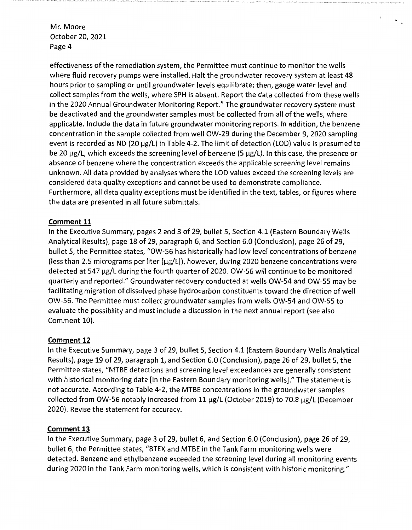effectiveness of the remediation system, the Permittee must continue to monitor the wells where fluid recovery pumps were installed. Halt the groundwater recovery system at least 48 hours prior to sampling or until groundwater levels equilibrate; then, gauge water level and collect samples from the wells, where SPH is absent. Report the data collected from these wells in the 2020 Annual Groundwater Monitoring Report." The groundwater recovery system must be deactivated and the groundwater samples must be collected from all of the wells, where applicable. Include the data in future groundwater monitoring reports. In addition, the benzene concentration in the sample collected from well OW-29 during the December 9, 2020 sampling event is recorded as ND (20 µg/L) in Table 4-2. The limit of detection (LOD) value is presumed to be 20 µg/L, which exceeds the screening level of benzene (5 µg/L). In this case, the presence or absence of benzene where the concentration exceeds the applicable screening level remains unknown. All data provided by analyses where the LOO values exceed the screening levels are considered data quality exceptions and cannot be used to demonstrate compliance. Furthermore, all data quality exceptions must be identified in the text, tables, or figures where the data are presented in all future submittals.

# **Comment 11**

In the Executive Summary, pages 2 and 3 of 29, bullet 5, Section 4.1 (Eastern Boundary Wells Analytical Results), page 18 of 29, paragraph 6, and Section 6.0 (Conclusion), page 26 of 29, bullet 5, the Permittee states, "OW-56 has historically had low level concentrations of benzene (less than 2.5 micrograms per liter [µg/L]), however, during 2020 benzene concentrations were detected at 547 µg/L during the fourth quarter of 2020. OW-56 will continue to be monitored quarterly and reported." Groundwater recovery conducted at wells OW-54 and OW-55 may be facilitating migration of dissolved phase hydrocarbon constituents toward the direction of well OW-56. The Permittee must collect groundwater samples from wells OW-54 and OW-55 to evaluate the possibility and must include a discussion in the next annual report (see also Comment 10).

## **Comment 12**

In the Executive Summary, page 3 of 29, bullet 5, Section 4.1 (Eastern Boundary Wells Analytical Results), page 19 of 29, paragraph 1, and Section 6.0 (Conclusion), page 26 of 29, bullet 5, the Permittee states, "MTBE detections and screening level exceedances are generally consistent with historical monitoring data [in the Eastern Boundary monitoring wells]." The statement is not accurate. According to Table 4-2, the MTBE concentrations in the groundwater samples collected from OW-56 notably increased from 11 µg/L (October 2019) to 70.8 µg/L (December 2020). Revise the statement for accuracy.

## **Comment 13**

In the Executive Summary, page 3 of 29, bullet 6, and Section 6.0 (Conclusion), page 26 of 29, bullet 6, the Permittee states, "BTEX and MTBE in the Tank Farm monitoring wells were detected. Benzene and ethylbenzene exceeded the screening level during all monitoring events during 2020 in the Tank Farm monitoring wells, which is consistent with historic monitoring."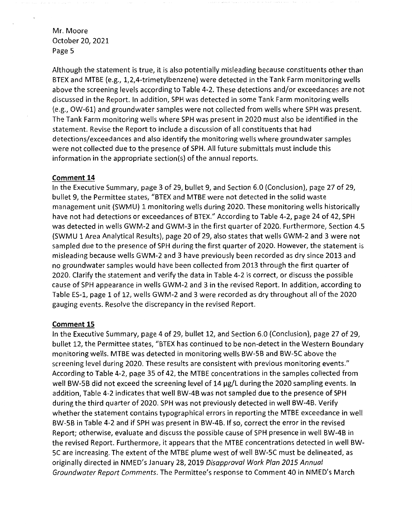Although the statement is true, it is also potentially misleading because constituents other than BTEX and MTBE (e.g., 1,2,4-trimetylbenzene) were detected in the Tank Farm monitoring wells above the screening levels according to Table 4-2. These detections and/or exceedances are not discussed in the Report. In addition, SPH was detected in some Tank Farm monitoring wells (e.g., OW-61) and groundwater samples were not collected from wells where SPH was present. The Tank Farm monitoring wells where SPH was present in 2020 must also be identified in the statement. Revise the Report to include a discussion of all constituents that had detections/exceedances and also identify the monitoring wells where groundwater samples were not collected due to the presence of SPH. All future submittals must include this information in the appropriate section(s) of the annual reports.

### **Comment 14**

In the Executive Summary, page 3 of 29, bullet 9, and Section 6.0 (Conclusion), page 27 of 29, bullet 9, the Permittee states, "BTEX and MTBE were not detected in the solid waste management unit (SWMU) 1 monitoring wells during 2020. These monitoring wells historically have not had detections or exceedances of BTEX." According to Table 4-2, page 24 of 42, SPH was detected in wells GWM-2 and GWM-3 in the first quarter of 2020. Furthermore, Section 4.5 (SWMU 1 Area Analytical Results), page 20 of 29, also states that wells GWM-2 and 3 were not sampled due to the presence of SPH during the first quarter of 2020. However, the statement is misleading because wells GWM-2 and 3 have previously been recorded as dry since 2013 and no groundwater samples would have been collected from 2013 through the first quarter of 2020. Clarify the statement and verify the data in Table 4-2 is correct, or discuss the possible cause of SPH appearance in wells GWM-2 and 3 in the revised Report. In addition, according to Table ES-1, page 1 of 12, wells GWM-2 and 3 were recorded as dry throughout all of the 2020 gauging events. Resolve the discrepancy in the revised Report.

### **Comment 15**

In the Executive Summary, page 4 of 29, bullet 12, and Section 6.0 (Conclusion), page 27 of 29, bullet 12, the Permittee states, "BTEX has continued to be non-detect in the Western Boundary monitoring wells. MTBE was detected in monitoring wells BW-5B and BW-5C above the screening level during 2020. These results are consistent with previous monitoring events." According to Table 4-2, page 35 of 42, the MTBE concentrations in the samples collected from well BW-5B did not exceed the screening level of 14 µg/L during the 2020 sampling events. In addition, Table 4-2 indicates that well BW-4B was not sampled due to the presence of SPH during the third quarter of 2020. SPH was not previously detected in well BW-4B. Verify whether the statement contains typographical errors in reporting the MTBE exceedance in well BW-5B in Table 4-2 and if SPH was present in BW-4B. If so, correct the error in the revised Report; otherwise, evaluate and discuss the possible cause of SPH presence in well BW-4B in the revised Report. Furthermore, it appears that the MTBE concentrations detected in well BW-5C are increasing. The extent of the MTBE plume west of well BW-5C must be delineated, as originally directed in NMED's January 28, 2019 Disapproval Work Plan 2015 Annual Groundwater Report Comments. The Permittee's response to Comment 40 in NMED's March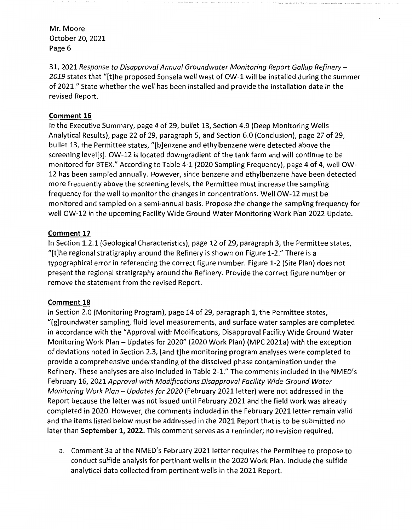31, 2021 Response to Disapproval Annual Groundwater Monitoring Report Gallup Refinery - *2019* states that "[t]he proposed Sonsela well west of OW-1 will be installed during the summer of 2021." State whether the well has been installed and provide the installation date in the revised Report.

# **Comment 16**

In the Executive Summary, page 4 of 29, bullet 13, Section 4.9 (Deep Monitoring Wells Analytical Results), page 22 of 29, paragraph 5, and Section 6.0 (Conclusion), page 27 of 29, bullet 13, the Permittee states, "[b]enzene and ethylbenzene were detected above the screening level[s]. OW-12 is located downgradient of the tank farm and will continue to be monitored for BTEX." According to Table 4-1 (2020 Sampling Frequency), page 4 of 4, well OW-12 has been sampled annually. However, since benzene and ethylbenzene have been detected more frequently above the screening levels, the Permittee must increase the sampling frequency for the well to monitor the changes in concentrations. Well OW-12 must be monitored and sampled on a semi-annual basis. Propose the change the sampling frequency for well OW-12 in the upcoming Facility Wide Ground Water Monitoring Work Plan 2022 Update.

# **Comment 17**

In Section 1.2.1 (Geological Characteristics), page 12 of 29, paragraph 3, the Permittee states, "[t]he regional stratigraphy around the Refinery is shown on Figure 1-2." There is a typographical error in referencing the correct figure number. Figure 1-2 (Site Plan) does not present the regional stratigraphy around the Refinery. Provide the correct figure number or remove the statement from the revised Report.

## **Comment 18**

In Section 2.0 (Monitoring Program), page 14 of 29, paragraph 1, the Permittee states, "[g]roundwater sampling, fluid level measurements, and surface water samples are completed in accordance with the "Approval with Modifications, Disapproval Facility Wide Ground Water Monitoring Work Plan - Updates for 2020" (2020 Work Plan) (MPC 2021a) with the exception of deviations noted in Section 2.3, [and t]he monitoring program analyses were completed to provide a comprehensive understanding of the dissolved phase contamination under the Refinery. These analyses are also included in Table 2-1." The comments included in the NMED's February 16, 2021 Approval with Modifications Disapproval Facility Wide Ground Water Monitoring Work Plan - Updates for 2020 (February 2021 letter) were not addressed in the Report because the letter was not issued until February 2021 and the field work was already completed in 2020. However, the comments included in the February 2021 letter remain valid and the items listed below must be addressed in the 2021 Report that is to be submitted no later than **September 1, 2022.** This comment serves as a reminder; no revision required.

a. Comment 3a of the NMED's February 2021 letter requires the Permittee to propose to conduct sulfide analysis for pertinent wells in the 2020 Work Plan. Include the sulfide analytical data collected from pertinent wells in the 2021 Report.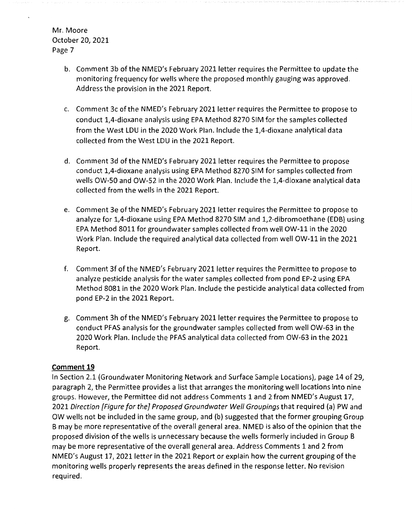- b. Comment 3b of the NMED's February 2021 letter requires the Permittee to update the monitoring frequency for wells where the proposed monthly gauging was approved. Address the provision in the 2021 Report.
- c. Comment 3c of the NMED's February 2021 letter requires the Permittee to propose to conduct 1,4-dioxane analysis using EPA Method 8270 SIM for the samples collected from the West LDU in the 2020 Work Plan. Include the 1,4-dioxane analytical data collected from the West LDU in the 2021 Report.
- d. Comment 3d of the NMED's February 2021 letter requires the Permittee to propose conduct 1,4-dioxane analysis using EPA Method 8270 SIM for samples collected from wells OW-50 and OW-52 in the 2020 Work Plan. Include the 1,4-dioxane analytical data collected from the wells in the 2021 Report.
- e. Comment 3e of the NMED's February 2021 letter requires the Permittee to propose to analyze for 1,4-dioxane using EPA Method 8270 SIM and 1,2-dibromoethane (EDB) using EPA Method 8011 for groundwater samples collected from well OW-11 in the 2020 Work Plan. Include the required analytical data collected from well OW-11 in the 2021 Report.
- f. Comment 3f ofthe NMED's February 2021 letter requires the Permittee to propose to analyze pesticide analysis for the water samples collected from pond EP-2 using EPA Method 8081 in the 2020 Work Plan. Include the pesticide analytical data collected from pond EP-2 in the 2021 Report.
- g. Comment 3h of the NMED's February 2021 letter requires the Permittee to propose to conduct PFAS analysis for the groundwater samples collected from well OW-63 in the 2020 Work Plan. Include the PFAS analytical data collected from OW-63 in the 2021 Report.

# **Comment 19**

In Section 2.1 (Groundwater Monitoring Network and Surface Sample Locations), page 14 of 29, paragraph 2, the Permittee provides a list that arranges the monitoring well locations into nine groups. However, the Permittee did not address Comments 1 and 2 from NMED's August 17, 2021 Direction [Figure for the] Proposed Groundwater Well Groupings that required (a) PW and OW wells not be included in the same group, and (b) suggested that the former grouping Group B may be more representative of the overall general area. NMED is also of the opinion that the proposed division of the wells is unnecessary because the wells formerly included in Group B may be more representative of the overall general area. Address Comments 1 and 2 from NMED's August 17, 2021 letter in the 2021 Report or explain how the current grouping of the monitoring wells properly represents the areas defined in the response letter. No revision required.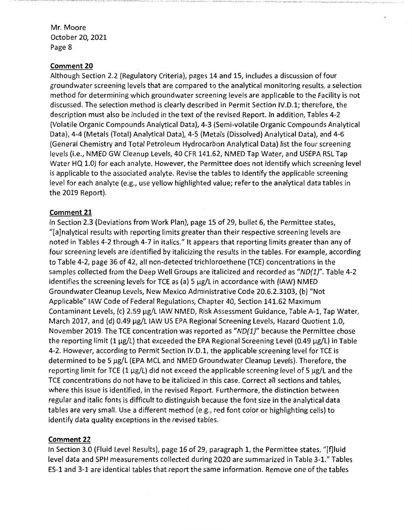### **Comment 20**

Although Section 2.2 (Regulatory Criteria), pages 14 and 15, includes a discussion of four groundwater screening levels that are compared to the analytical monitoring results, a selection method for determining which groundwater screening levels are applicable to the Facility is not discussed. The selection method is clearly described in Permit Section IV.D.1; therefore, the description must also be included in the text of the revised Report. In addition, Tables 4-2 (Volatile Organic Compounds Analytical Data), 4-3 (Semi-volatile Organic Compounds Analytical Data), 4-4 (Metals (Total) Analytical Data), 4-5 (Metals (Dissolved) Analytical Data), and 4-6 (General Chemistry and Total Petroleum Hydrocarbon Analytical Data) list the four screening levels (i.e., NMED GW Cleanup Levels, 40 CFR 141.62, NMED Tap Water, and USEPA RSL Tap Water HQ 1.0) for each analyte. However, the Permittee does not identify which screening level is applicable to the associated analyte. Revise the tables to Identify the applicable screening level for each analyte (e.g., use yellow highlighted value; refer to the analytical data tables in the 2019 Report).

## **Comment 21**

In Section 2.3 (Deviations from Work Plan), page 15 of 29, bullet 6, the Permittee states, "[a]nalytical results with reporting limits greater than their respective screening levels are noted in Tables 4-2 through 4-7 in italics." It appears that reporting limits greater than any of four screening levels are identified by italicizing the results in the tables. For example, according to Table 4-2, page 36 of 42, all non-detected trichloroethene (TCE) concentrations in the samples collected from the Deep Well Groups are italicized and recorded as "ND(1)". Table 4-2 identifies the screening levels for TCE as (a) 5  $\mu$ g/L in accordance with (IAW) NMED Groundwater Cleanup Levels, New Mexico Administrative Code 20.6.2.3103, (b) "Not Applicable" IAW Code of Federal Regulations, Chapter 40, Section 141.62 Maximum Contaminant Levels, (c) 2.59 µg/L IAW NMED, Risk Assessment Guidance, Table A-1, Tap Water, March 2017, and (d) 0.49  $\mu$ g/L IAW US EPA Regional Screening Levels, Hazard Quotient 1.0, November 2019. The TCE concentration was reported as "ND(1)" because the Permittee chose the reporting limit  $(1 \mu g/L)$  that exceeded the EPA Regional Screening Level  $(0.49 \mu g/L)$  in Table 4-2. However, according to Permit Section IV.D.1, the applicable screening level for TCE is determined to be 5 µg/L (EPA MCL and NMED Groundwater Cleanup Levels). Therefore, the reporting limit for TCE (1  $\mu$ g/L) did not exceed the applicable screening level of 5  $\mu$ g/L and the TCE concentrations do not have to be italicized in this case. Correct all sections and tables, where this issue is identified, in the revised Report. Furthermore, the distinction between regular and italic fonts is difficult to distinguish because the font size in the analytical data tables are very small. Use a different method (e.g., red font color or highlighting cells) to identify data quality exceptions in the revised tables.

## **Comment 22**

In Section 3.0 (Fluid Level Results), page 16 of 29, paragraph 1, the Permittee states, "[f]luid level data and SPH measurements collected during 2020 are summarized in Table 3-1." Tables ES-1 and 3-1 are identical tables that report the same information. Remove one of the tables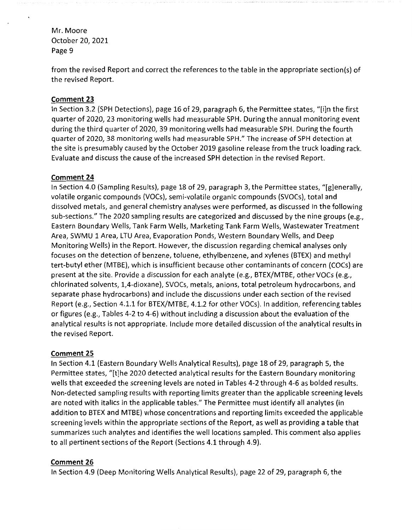from the revised Report and correct the references to the table in the appropriate section(s) of the revised Report.

# **Comment 23**

In Section 3.2 (SPH Detections), page 16 of 29, paragraph 6, the Permittee states, "[i]n the first quarter of 2020, 23 monitoring wells had measurable SPH. During the annual monitoring event during the third quarter of 2020, 39 monitoring wells had measurable SPH. During the fourth quarter of 2020, 38 monitoring wells had measurable SPH." The increase of SPH detection at the site is presumably caused by the October 2019 gasoline release from the truck loading rack. Evaluate and discuss the cause of the increased SPH detection in the revised Report.

# **Comment 24**

In Section 4.0 (Sampling Results), page 18 of 29, paragraph 3, the Permittee states, "[g]enerally, volatile organic compounds (VOCs), semi-volatile organic compounds (SVOCs), total and dissolved metals, and general chemistry analyses were performed, as discussed in the following sub-sections." The 2020 sampling results are categorized and discussed by the nine groups (e.g., Eastern Boundary Wells, Tank Farm Wells, Marketing Tank Farm Wells, Wastewater Treatment Area, SWMU 1 Area, LTU Area, Evaporation Ponds, Western Boundary Wells, and Deep Monitoring Wells) in the Report. However, the discussion regarding chemical analyses only focuses on the detection of benzene, toluene, ethylbenzene, and xylenes (BTEX) and methyl tert-butyl ether (MTBE), which is insufficient because other contaminants of concern (COCs) are present at the site. Provide a discussion for each analyte (e.g., BTEX/MTBE, other VOCs (e.g., chlorinated solvents, 1,4-dioxane), SVOCs, metals, anions, total petroleum hydrocarbons, and separate phase hydrocarbons) and include the discussions under each section of the revised Report (e.g., Section 4.1.1 for BTEX/MTBE, 4.1.2 for other VOCs). In addition, referencing tables or figures (e.g., Tables 4-2 to 4-6) without including a discussion about the evaluation of the analytical results is not appropriate. Include more detailed discussion of the analytical results in the revised Report.

# **Comment 25**

In Section 4.1 (Eastern Boundary Wells Analytical Results), page 18 of 29, paragraph 5, the Permittee states, "[t]he 2020 detected analytical results for the Eastern Boundary monitoring wells that exceeded the screening levels are noted in Tables 4-2 through 4-6 as balded results. Non-detected sampling results with reporting limits greater than the applicable screening levels are noted with italics in the applicable tables." The Permittee must identify all analytes (in addition to BTEX and MTBE) whose concentrations and reporting limits exceeded the applicable screening levels within the appropriate sections of the Report, as well as providing a table that summarizes such analytes and identifies the well locations sampled. This comment also applies to all pertinent sections of the Report (Sections 4.1 through 4.9).

# **Comment 26**

In Section 4.9 (Deep Monitoring Wells Analytical Results), page 22 of 29, paragraph 6, the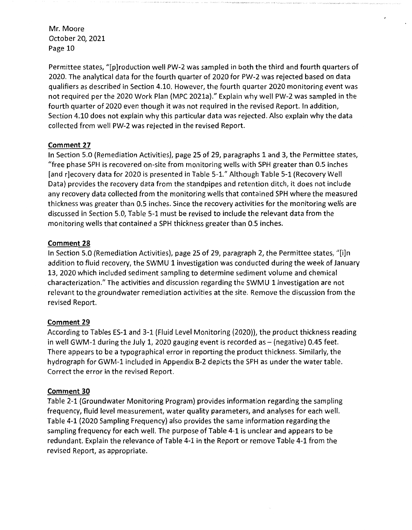Permittee states, "[p]roduction well PW-2 was sampled in both the third and fourth quarters of 2020. The analytical data for the fourth quarter of 2020 for PW-2 was rejected based on data qualifiers as described in Section 4.10. However, the fourth quarter 2020 monitoring event was not required per the 2020 Work Plan (MPC 2021a)." Explain why well PW-2 was sampled in the fourth quarter of 2020 even though it was not required in the revised Report. In addition, Section 4.10 does not explain why this particular data was rejected. Also explain why the data collected from well PW-2 was rejected in the revised Report.

# **Comment 27**

In Section 5.0 (Remediation Activities), page 25 of 29, paragraphs 1 and 3, the Permittee states, "free phase SPH is recovered on-site from monitoring wells with SPH greater than 0.5 inches [and r]ecovery data for 2020 is presented in Table 5-1." Although Table 5-1 (Recovery Well Data) provides the recovery data from the standpipes and retention ditch, it does not include any recovery data collected from the monitoring wells that contained SPH where the measured thickness was greater than 0.5 inches. Since the recovery activities for the monitoring wells are discussed in Section 5.0, Table 5-1 must be revised to include the relevant data from the monitoring wells that contained a SPH thickness greater than 0.5 inches.

# **Comment 28**

In Section 5.0 (Remediation Activities), page 25 of 29, paragraph 2, the Permittee states, "[i]n addition to fluid recovery, the SWMU 1 investigation was conducted during the week of January 13, 2020 which included sediment sampling to determine sediment volume and chemical characterization." The activities and discussion regarding the SWMU 1 investigation are not relevant to the groundwater remediation activities at the site. Remove the discussion from the revised Report.

# **Comment 29**

According to Tables ES-1 and 3-1 (Fluid Level Monitoring (2020)), the product thickness reading in well GWM-1 during the July 1, 2020 gauging event is recorded as  $-$  (negative) 0.45 feet. There appears to be a typographical error in reporting the product thickness. Similarly, the hydrograph for GWM-1 included in Appendix B-2 depicts the SPH as under the water table. Correct the error in the revised Report.

# **Comment 30**

Table 2-1 (Groundwater Monitoring Program) provides information regarding the sampling frequency, fluid level measurement, water quality parameters, and analyses for each well. Table 4-1 (2020 Sampling Frequency) also provides the same information regarding the sampling frequency for each well. The purpose of Table 4-1 is unclear and appears to be redundant. Explain the relevance of Table 4-1 in the Report or remove Table 4-1 from the revised Report, as appropriate.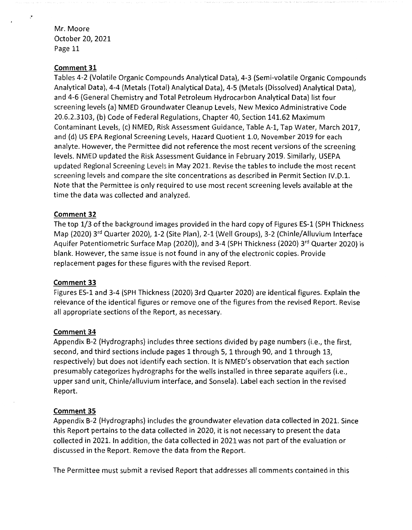#### **Comment 31**

Tables 4-2 (Volatile Organic Compounds Analytical Data), 4-3 (Semi-volatile Organic Compounds Analytical Data), 4-4 (Metals (Total) Analytical Data), 4-5 (Metals (Dissolved) Analytical Data), and 4-6 (General Chemistry and Total Petroleum Hydrocarbon Analytical Data) list four screening levels (a) NMED Groundwater Cleanup Levels, New Mexico Administrative Code 20.6.2.3103, (b) Code of Federal Regulations, Chapter 40, Section 141.62 Maximum Contaminant Levels, (c) NMED, Risk Assessment Guidance, Table A-1, Tap Water, March 2017, and (d) US EPA Regional Screening Levels, Hazard Quotient 1.0, November 2019 for each analyte. However, the Permittee did not reference the most recent versions of the screening levels. NMED updated the Risk Assessment Guidance in February 2019. Similarly, USEPA updated Regional Screening Levels in May 2021. Revise the tables to include the most recent screening levels and compare the site concentrations as described in Permit Section IV.D.1. Note that the Permittee is only required to use most recent screening levels available at the time the data was collected and analyzed.

### **Comment 32**

The top 1/3 of the background images provided in the hard copy of Figures ES-1 (SPH Thickness Map (2020) 3rd Quarter 2020), 1-2 (Site Plan), 2-1 (Well Groups), 3-2 (Chinle/Alluvium Interface Aquifer Potentiometric Surface Map (2020)), and 3-4 (SPH Thickness (2020) 3<sup>rd</sup> Quarter 2020) is blank. However, the same issue is not found in any of the electronic copies. Provide replacement pages for these figures with the revised Report.

### **Comment 33**

Figures ES-1 and 3-4 (SPH Thickness (2020) 3rd Quarter 2020) are identical figures. Explain the relevance of the identical figures or remove one of the figures from the revised Report. Revise all appropriate sections of the Report, as necessary.

### **Comment 34**

Appendix B-2 (Hydrographs) includes three sections divided by page numbers (i.e., the first, second, and third sections include pages 1 through 5, 1 through 90, and 1 through 13, respectively) but does not identify each section. It is NMED's observation that each section presumably categorizes hydrographs for the wells installed in three separate aquifers (i.e., upper sand unit, Chinle/alluvium interface, and Sonsela). Label each section in the revised Report.

#### **Comment 35**

Appendix B-2 (Hydrographs) includes the groundwater elevation data collected in 2021. Since this Report pertains to the data collected in 2020, it is not necessary to present the data collected in 2021. In addition, the data collected in 2021 was not part of the evaluation or discussed in the Report. Remove the data from the Report.

The Permittee must submit a revised Report that addresses all comments contained in this